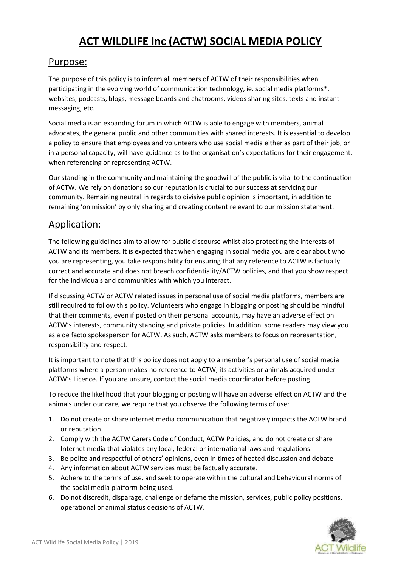# **ACT WILDLIFE Inc (ACTW) SOCIAL MEDIA POLICY**

#### Purpose:

The purpose of this policy is to inform all members of ACTW of their responsibilities when participating in the evolving world of communication technology, ie. social media platforms\*, websites, podcasts, blogs, message boards and chatrooms, videos sharing sites, texts and instant messaging, etc.

Social media is an expanding forum in which ACTW is able to engage with members, animal advocates, the general public and other communities with shared interests. It is essential to develop a policy to ensure that employees and volunteers who use social media either as part of their job, or in a personal capacity, will have guidance as to the organisation's expectations for their engagement, when referencing or representing ACTW.

Our standing in the community and maintaining the goodwill of the public is vital to the continuation of ACTW. We rely on donations so our reputation is crucial to our success at servicing our community. Remaining neutral in regards to divisive public opinion is important, in addition to remaining 'on mission' by only sharing and creating content relevant to our mission statement.

# Application:

The following guidelines aim to allow for public discourse whilst also protecting the interests of ACTW and its members. It is expected that when engaging in social media you are clear about who you are representing, you take responsibility for ensuring that any reference to ACTW is factually correct and accurate and does not breach confidentiality/ACTW policies, and that you show respect for the individuals and communities with which you interact.

If discussing ACTW or ACTW related issues in personal use of social media platforms, members are still required to follow this policy. Volunteers who engage in blogging or posting should be mindful that their comments, even if posted on their personal accounts, may have an adverse effect on ACTW's interests, community standing and private policies. In addition, some readers may view you as a de facto spokesperson for ACTW. As such, ACTW asks members to focus on representation, responsibility and respect.

It is important to note that this policy does not apply to a member's personal use of social media platforms where a person makes no reference to ACTW, its activities or animals acquired under ACTW's Licence. If you are unsure, contact the social media coordinator before posting.

To reduce the likelihood that your blogging or posting will have an adverse effect on ACTW and the animals under our care, we require that you observe the following terms of use:

- 1. Do not create or share internet media communication that negatively impacts the ACTW brand or reputation.
- 2. Comply with the ACTW Carers Code of Conduct, ACTW Policies, and do not create or share Internet media that violates any local, federal or international laws and regulations.
- 3. Be polite and respectful of others' opinions, even in times of heated discussion and debate
- 4. Any information about ACTW services must be factually accurate.
- 5. Adhere to the terms of use, and seek to operate within the cultural and behavioural norms of the social media platform being used.
- 6. Do not discredit, disparage, challenge or defame the mission, services, public policy positions, operational or animal status decisions of ACTW.

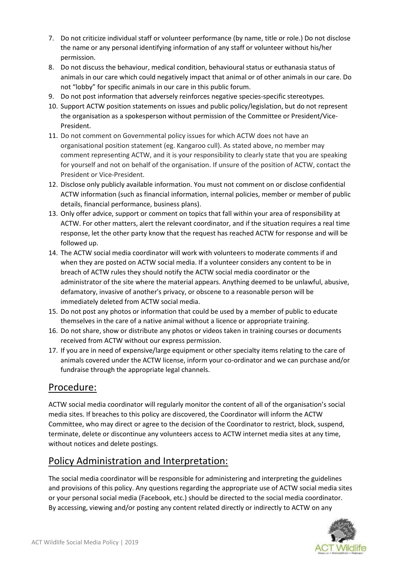- 7. Do not criticize individual staff or volunteer performance (by name, title or role.) Do not disclose the name or any personal identifying information of any staff or volunteer without his/her permission.
- 8. Do not discuss the behaviour, medical condition, behavioural status or euthanasia status of animals in our care which could negatively impact that animal or of other animals in our care. Do not "lobby" for specific animals in our care in this public forum.
- 9. Do not post information that adversely reinforces negative species-specific stereotypes.
- 10. Support ACTW position statements on issues and public policy/legislation, but do not represent the organisation as a spokesperson without permission of the Committee or President/Vice-President.
- 11. Do not comment on Governmental policy issues for which ACTW does not have an organisational position statement (eg. Kangaroo cull). As stated above, no member may comment representing ACTW, and it is your responsibility to clearly state that you are speaking for yourself and not on behalf of the organisation. If unsure of the position of ACTW, contact the President or Vice-President.
- 12. Disclose only publicly available information. You must not comment on or disclose confidential ACTW information (such as financial information, internal policies, member or member of public details, financial performance, business plans).
- 13. Only offer advice, support or comment on topics that fall within your area of responsibility at ACTW. For other matters, alert the relevant coordinator, and if the situation requires a real time response, let the other party know that the request has reached ACTW for response and will be followed up.
- 14. The ACTW social media coordinator will work with volunteers to moderate comments if and when they are posted on ACTW social media. If a volunteer considers any content to be in breach of ACTW rules they should notify the ACTW social media coordinator or the administrator of the site where the material appears. Anything deemed to be unlawful, abusive, defamatory, invasive of another's privacy, or obscene to a reasonable person will be immediately deleted from ACTW social media.
- 15. Do not post any photos or information that could be used by a member of public to educate themselves in the care of a native animal without a licence or appropriate training.
- 16. Do not share, show or distribute any photos or videos taken in training courses or documents received from ACTW without our express permission.
- 17. If you are in need of expensive/large equipment or other specialty items relating to the care of animals covered under the ACTW license, inform your co-ordinator and we can purchase and/or fundraise through the appropriate legal channels.

## Procedure:

ACTW social media coordinator will regularly monitor the content of all of the organisation's social media sites. If breaches to this policy are discovered, the Coordinator will inform the ACTW Committee, who may direct or agree to the decision of the Coordinator to restrict, block, suspend, terminate, delete or discontinue any volunteers access to ACTW internet media sites at any time, without notices and delete postings.

## Policy Administration and Interpretation:

The social media coordinator will be responsible for administering and interpreting the guidelines and provisions of this policy. Any questions regarding the appropriate use of ACTW social media sites or your personal social media (Facebook, etc.) should be directed to the social media coordinator. By accessing, viewing and/or posting any content related directly or indirectly to ACTW on any